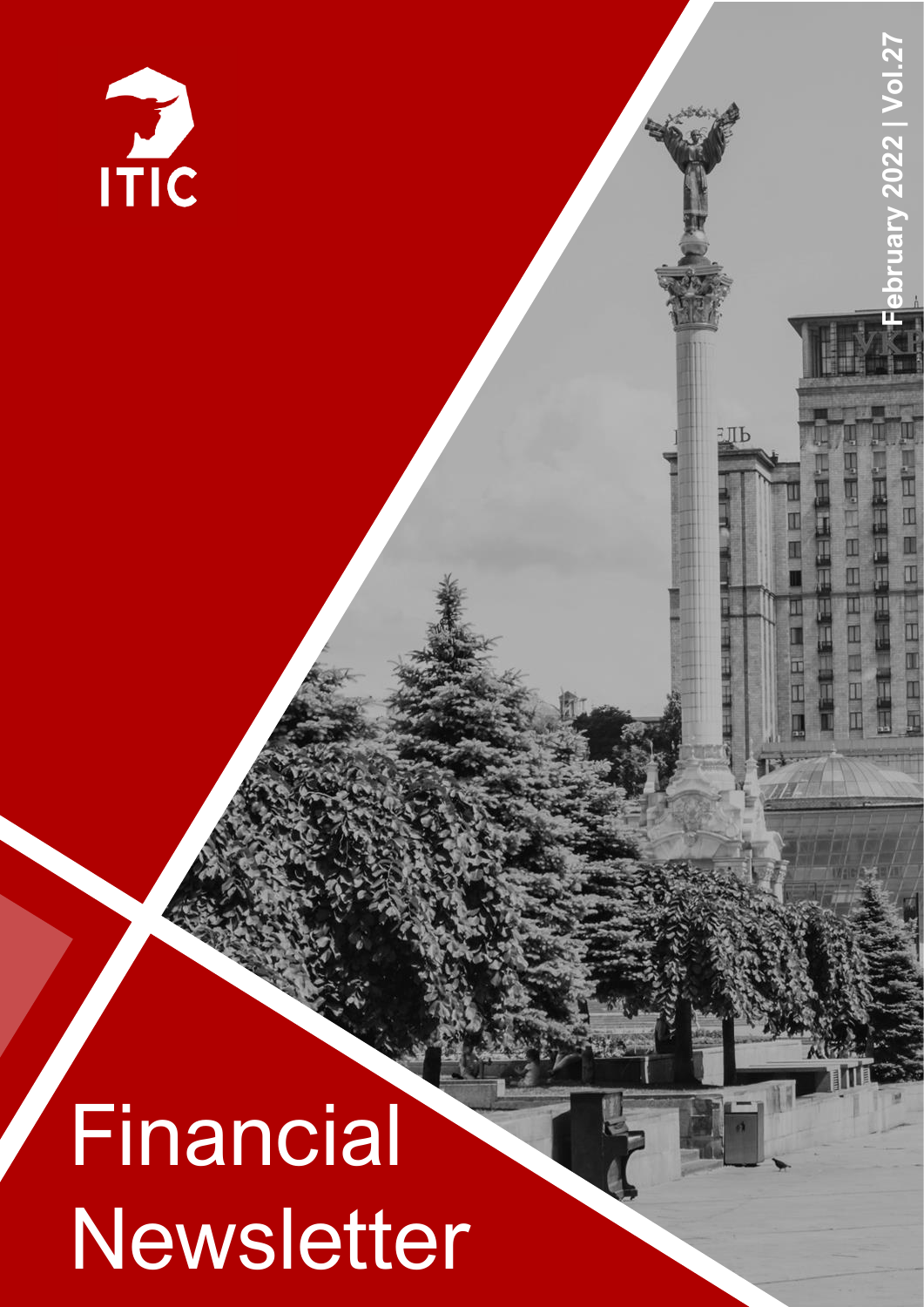

**February 2022 | Vol.2**

 $\blacksquare$ 

аль

ry 2022 | Vol.27

# **Financial** Newsletter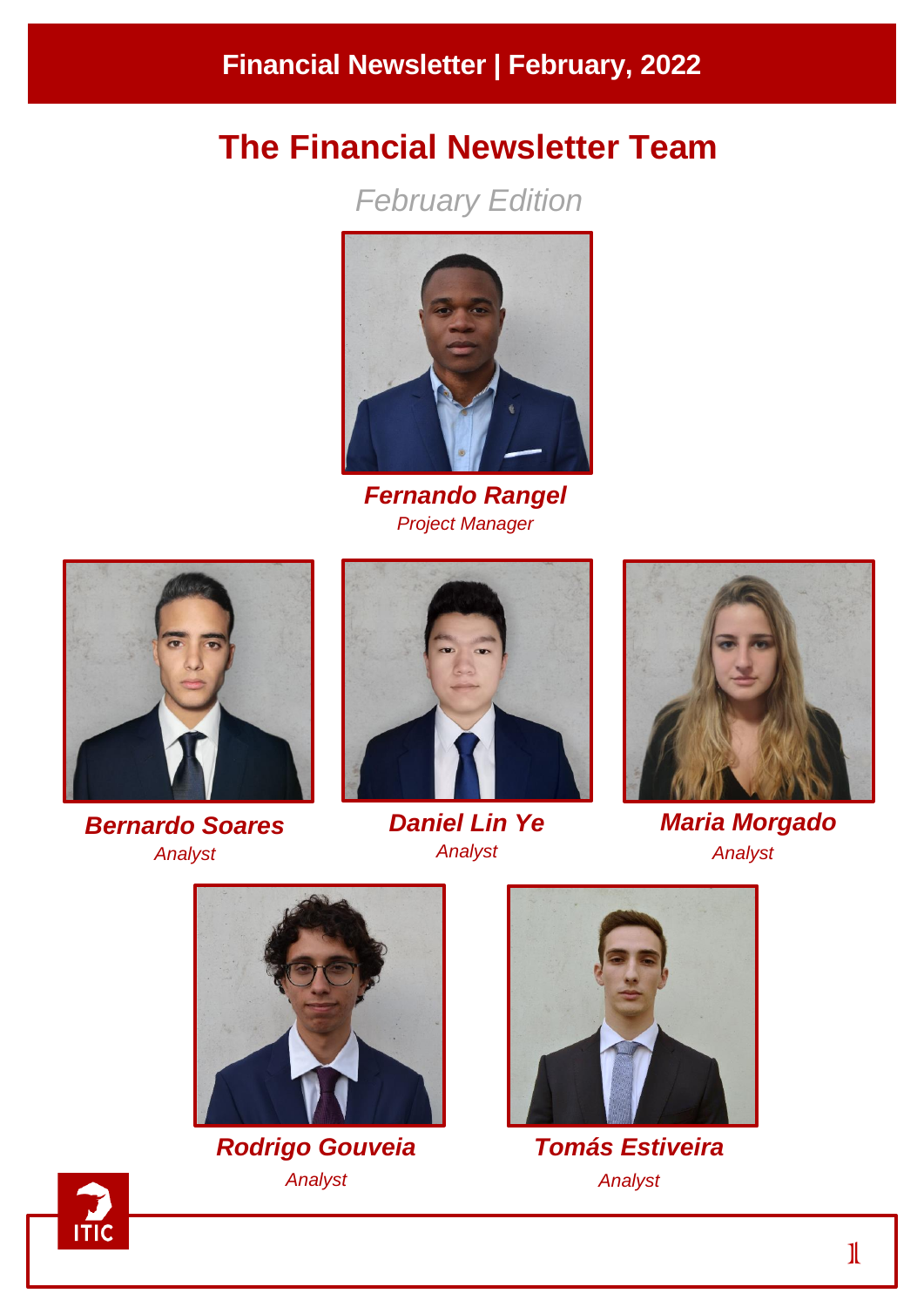# **The Financial Newsletter Team**

*February Edition*



*Fernando Rangel Project Manager*



*Bernardo Soares Analyst*



*Daniel Lin Ye Analyst*



*Maria Morgado Analyst*



*Rodrigo Gouveia Analyst*



*Tomás Estiveira Analyst*

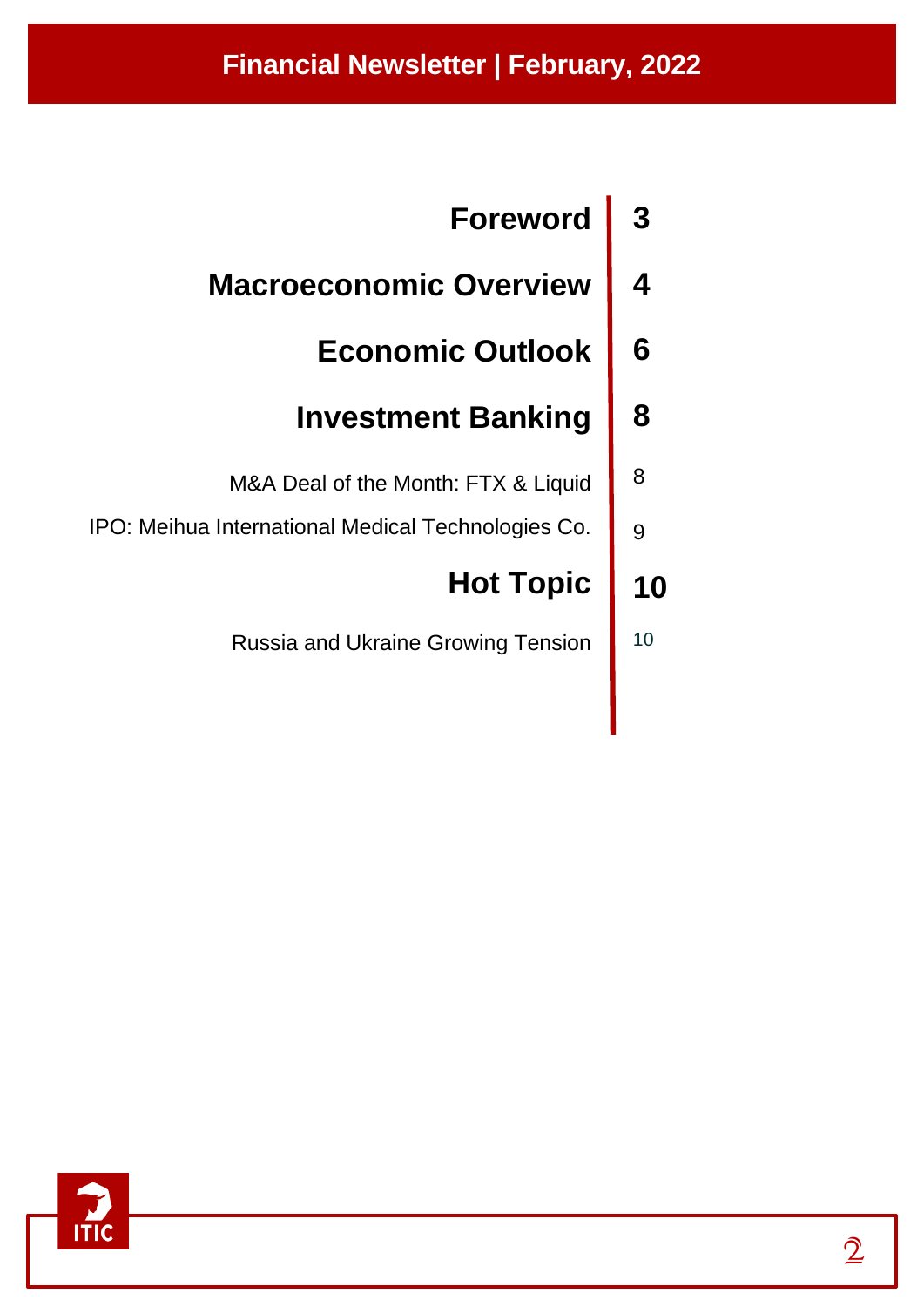# **Financial Newsletter | February, 2022**

| <b>Foreword</b>                                    |    |
|----------------------------------------------------|----|
| <b>Macroeconomic Overview</b>                      |    |
| <b>Economic Outlook</b>                            | 6  |
| <b>Investment Banking</b>                          | 8  |
| M&A Deal of the Month: FTX & Liquid                | 8  |
| IPO: Meihua International Medical Technologies Co. | 9  |
| <b>Hot Topic</b>                                   | 10 |
| <b>Russia and Ukraine Growing Tension</b>          | 10 |

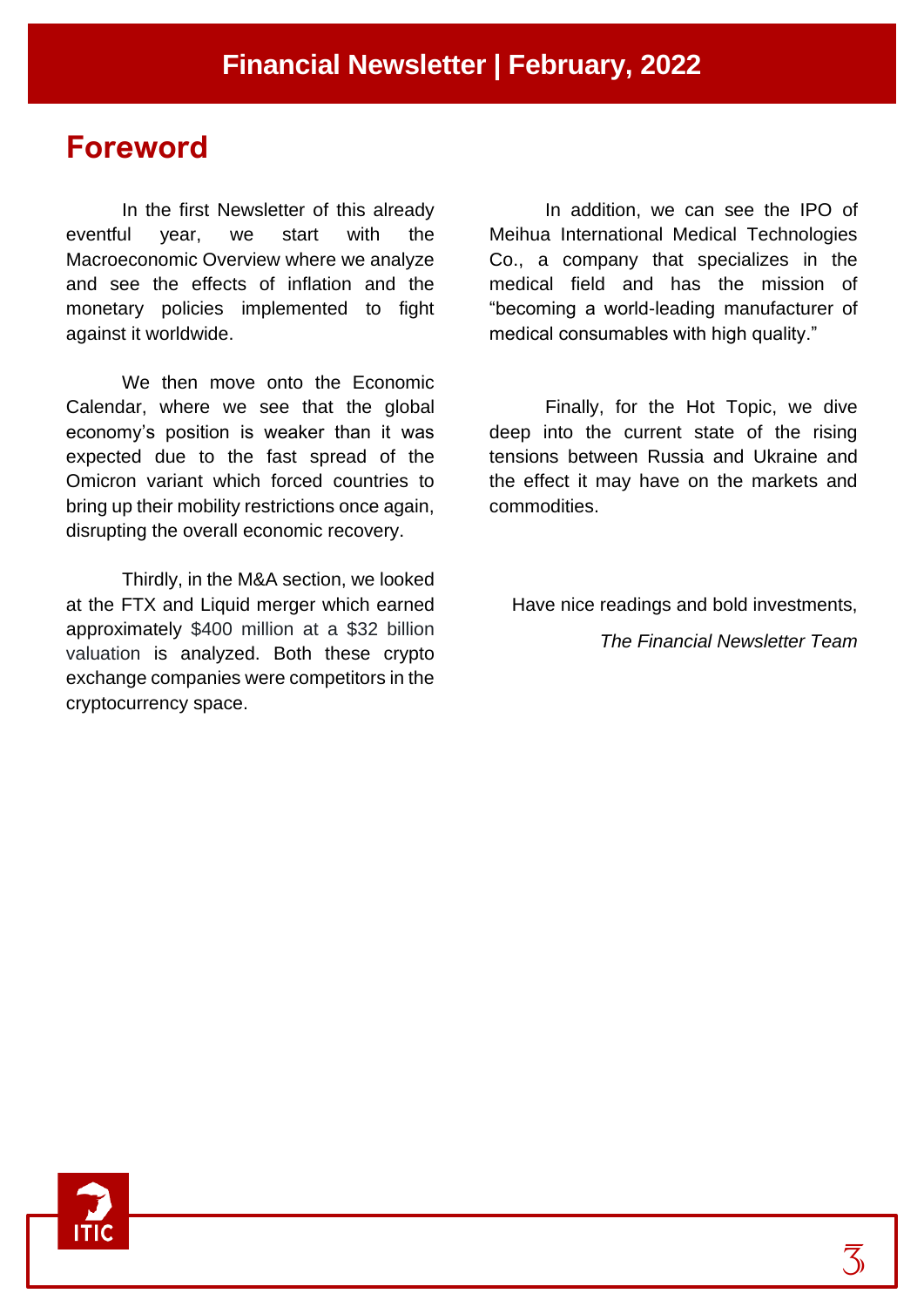## **Foreword**

In the first Newsletter of this already eventful year, we start with the Macroeconomic Overview where we analyze and see the effects of inflation and the monetary policies implemented to fight against it worldwide.

We then move onto the Economic Calendar, where we see that the global economy's position is weaker than it was expected due to the fast spread of the Omicron variant which forced countries to bring up their mobility restrictions once again, disrupting the overall economic recovery.

Thirdly, in the M&A section, we looked at the FTX and Liquid merger which earned approximately \$400 million at a \$32 billion valuation is analyzed. Both these crypto exchange companies were competitors in the cryptocurrency space.

In addition, we can see the IPO of Meihua International Medical Technologies Co., a company that specializes in the medical field and has the mission of "becoming a world-leading manufacturer of medical consumables with high quality."

Finally, for the Hot Topic, we dive deep into the current state of the rising tensions between Russia and Ukraine and the effect it may have on the markets and commodities.

Have nice readings and bold investments,

*The Financial Newsletter Team*

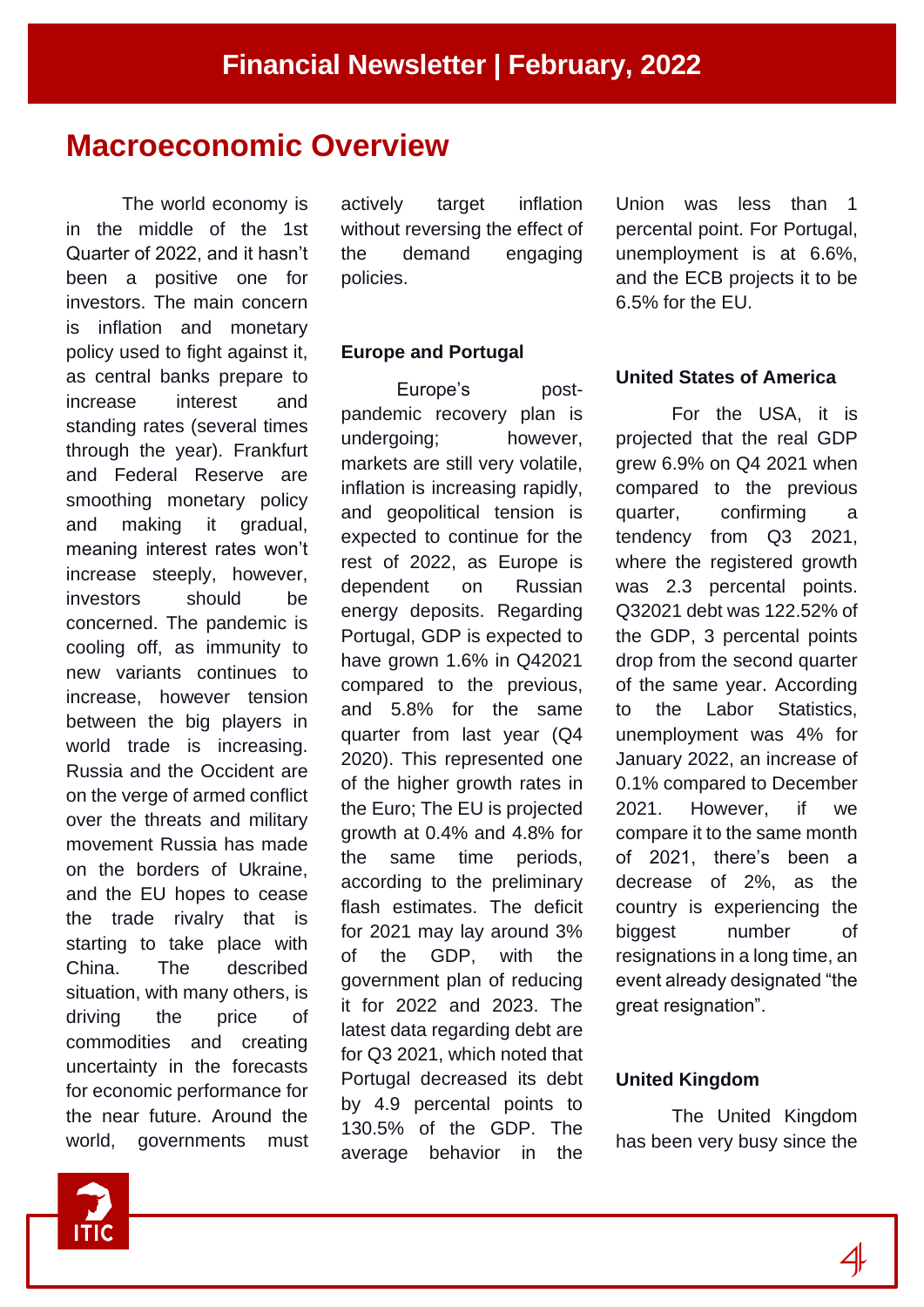# **Macroeconomic Overview**

The world economy is in the middle of the 1st Quarter of 2022, and it hasn't been a positive one for investors. The main concern is inflation and monetary policy used to fight against it, as central banks prepare to increase interest and standing rates (several times through the year). Frankfurt and Federal Reserve are smoothing monetary policy and making it gradual, meaning interest rates won't increase steeply, however, investors should be concerned. The pandemic is cooling off, as immunity to new variants continues to increase, however tension between the big players in world trade is increasing. Russia and the Occident are on the verge of armed conflict over the threats and military movement Russia has made on the borders of Ukraine, and the EU hopes to cease the trade rivalry that is starting to take place with China. The described situation, with many others, is driving the price of commodities and creating uncertainty in the forecasts for economic performance for the near future. Around the world, governments must

actively target inflation without reversing the effect of the demand engaging policies.

#### **Europe and Portugal**

Europe's postpandemic recovery plan is undergoing; however, markets are still very volatile, inflation is increasing rapidly, and geopolitical tension is expected to continue for the rest of 2022, as Europe is dependent on Russian energy deposits. Regarding Portugal, GDP is expected to have grown 1.6% in Q42021 compared to the previous, and 5.8% for the same quarter from last year (Q4 2020). This represented one of the higher growth rates in the Euro; The EU is projected growth at 0.4% and 4.8% for the same time periods, according to the preliminary flash estimates. The deficit for 2021 may lay around 3% of the GDP, with the government plan of reducing it for 2022 and 2023. The latest data regarding debt are for Q3 2021, which noted that Portugal decreased its debt by 4.9 percental points to 130.5% of the GDP. The average behavior in the

Union was less than 1 percental point. For Portugal, unemployment is at 6.6%, and the ECB projects it to be 6.5% for the EU.

#### **United States of America**

For the USA, it is projected that the real GDP grew 6.9% on Q4 2021 when compared to the previous quarter, confirming a tendency from Q3 2021, where the registered growth was 2.3 percental points. Q32021 debt was 122.52% of the GDP, 3 percental points drop from the second quarter of the same year. According to the Labor Statistics, unemployment was 4% for January 2022, an increase of 0.1% compared to December 2021. However, if we compare it to the same month of 2021, there's been a decrease of 2%, as the country is experiencing the biggest number of resignations in a long time, an event already designated "the great resignation".

#### **United Kingdom**

The United Kingdom has been very busy since the

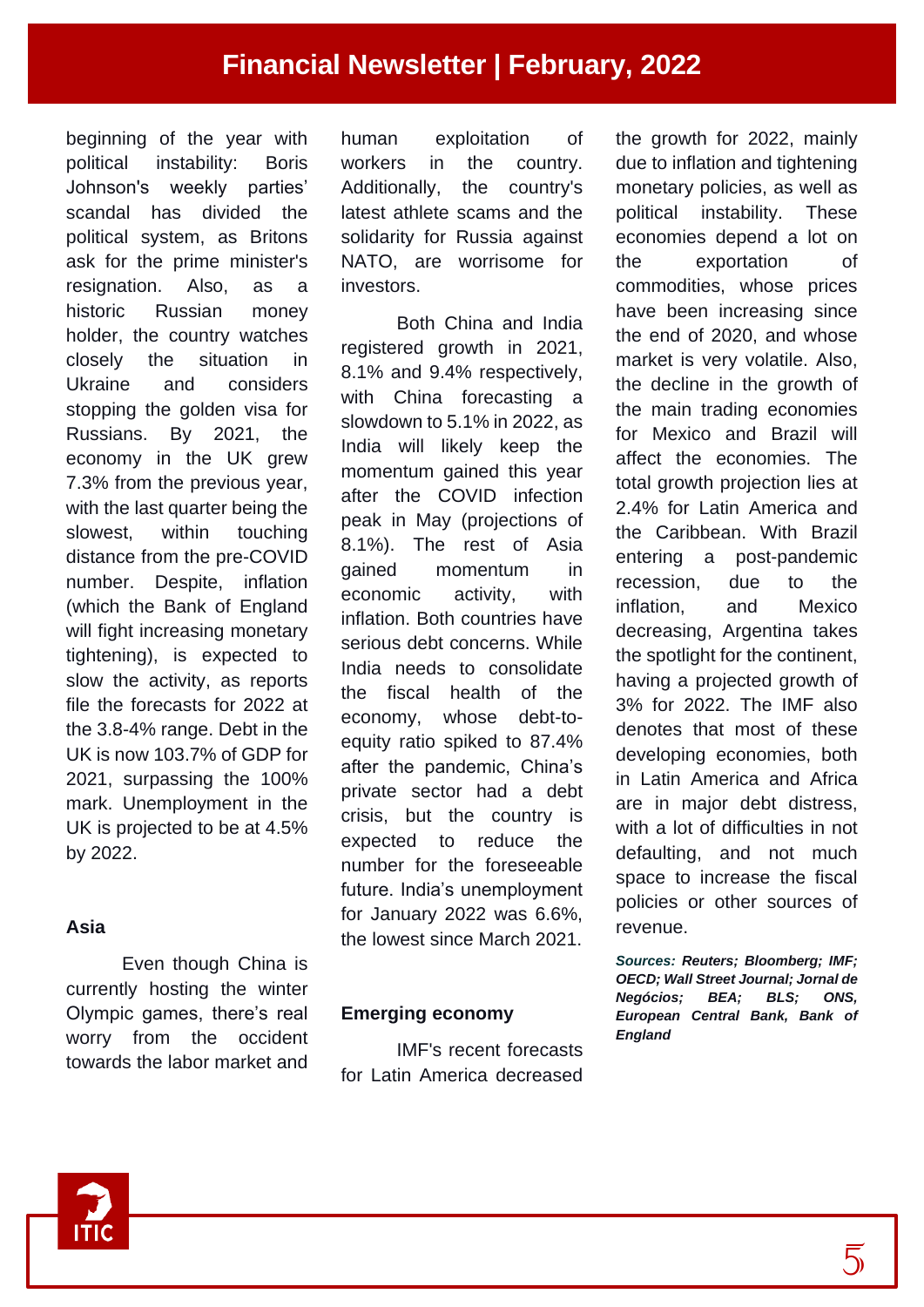beginning of the year with political instability: Boris Johnson's weekly parties' scandal has divided the political system, as Britons ask for the prime minister's resignation. Also, as a historic Russian money holder, the country watches closely the situation in Ukraine and considers stopping the golden visa for Russians. By 2021, the economy in the UK grew 7.3% from the previous year, with the last quarter being the slowest, within touching distance from the pre-COVID number. Despite, inflation (which the Bank of England will fight increasing monetary tightening), is expected to slow the activity, as reports file the forecasts for 2022 at the 3.8-4% range. Debt in the UK is now 103.7% of GDP for 2021, surpassing the 100% mark. Unemployment in the UK is projected to be at 4.5% by 2022.

#### **Asia**

Even though China is currently hosting the winter Olympic games, there's real worry from the occident towards the labor market and human exploitation of workers in the country. Additionally, the country's latest athlete scams and the solidarity for Russia against NATO, are worrisome for investors.

Both China and India registered growth in 2021, 8.1% and 9.4% respectively, with China forecasting a slowdown to 5.1% in 2022, as India will likely keep the momentum gained this year after the COVID infection peak in May (projections of 8.1%). The rest of Asia gained momentum in economic activity, with inflation. Both countries have serious debt concerns. While India needs to consolidate the fiscal health of the economy, whose debt-toequity ratio spiked to 87.4% after the pandemic, China's private sector had a debt crisis, but the country is expected to reduce the number for the foreseeable future. India's unemployment for January 2022 was 6.6%, the lowest since March 2021.

#### **Emerging economy**

IMF's recent forecasts for Latin America decreased the growth for 2022, mainly due to inflation and tightening monetary policies, as well as political instability. These economies depend a lot on the exportation of commodities, whose prices have been increasing since the end of 2020, and whose market is very volatile. Also, the decline in the growth of the main trading economies for Mexico and Brazil will affect the economies. The total growth projection lies at 2.4% for Latin America and the Caribbean. With Brazil entering a post-pandemic recession, due to the inflation, and Mexico decreasing, Argentina takes the spotlight for the continent, having a projected growth of 3% for 2022. The IMF also denotes that most of these developing economies, both in Latin America and Africa are in major debt distress, with a lot of difficulties in not defaulting, and not much space to increase the fiscal policies or other sources of revenue.

*Sources: Reuters; Bloomberg; IMF; OECD; Wall Street Journal; Jornal de Negócios; BEA; BLS; ONS, European Central Bank, Bank of England*

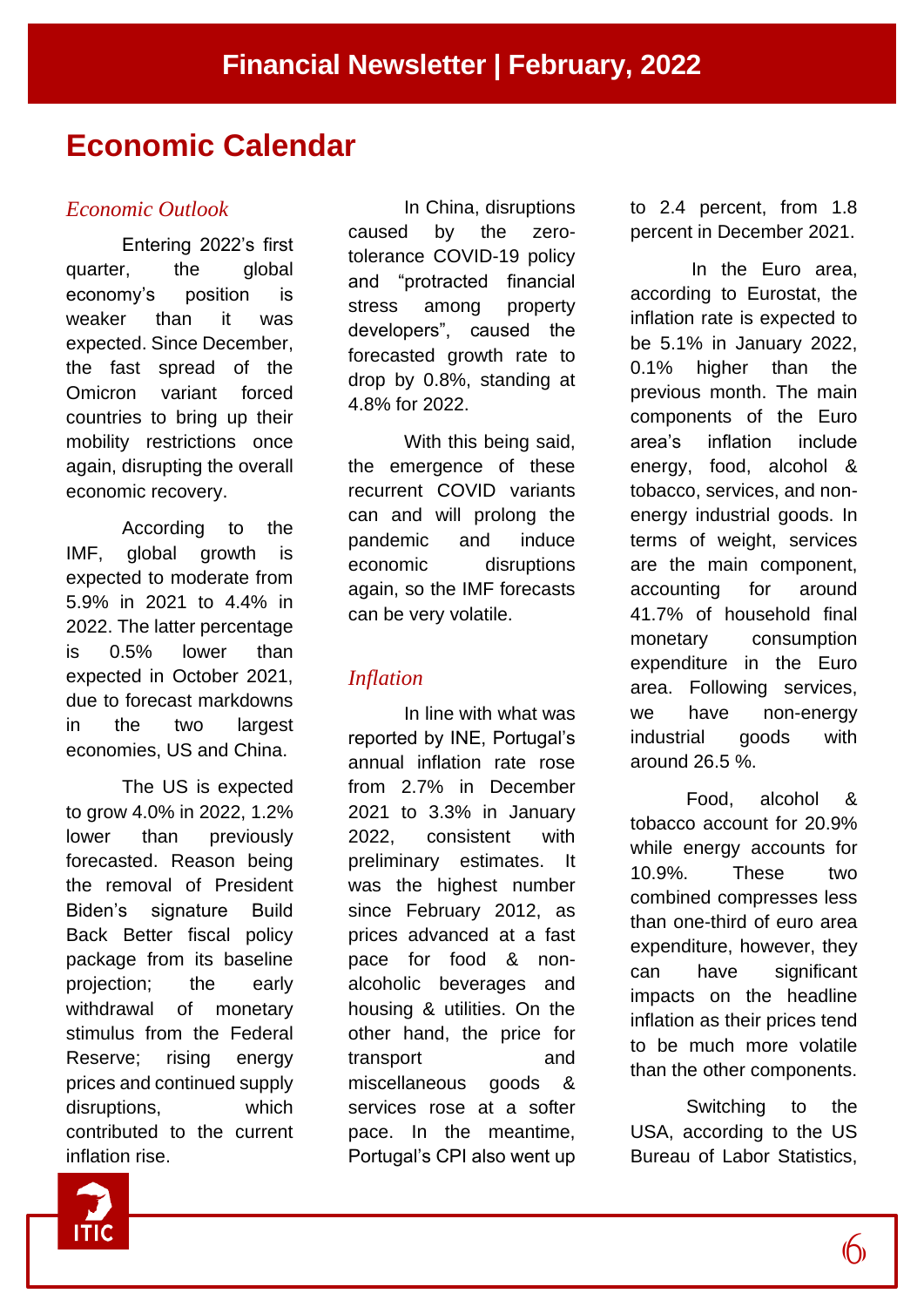# **Economic Calendar**

#### *Economic Outlook*

Entering 2022's first quarter, the global economy's position is weaker than it was expected. Since December, the fast spread of the Omicron variant forced countries to bring up their mobility restrictions once again, disrupting the overall economic recovery.

According to the IMF, global growth is expected to moderate from 5.9% in 2021 to 4.4% in 2022. The latter percentage is 0.5% lower than expected in October 2021, due to forecast markdowns in the two largest economies, US and China.

The US is expected to grow 4.0% in 2022, 1.2% lower than previously forecasted. Reason being the removal of President Biden's signature Build Back Better fiscal policy package from its baseline projection; the early withdrawal of monetary stimulus from the Federal Reserve; rising energy prices and continued supply disruptions, which contributed to the current inflation rise.

In China, disruptions caused by the zerotolerance COVID-19 policy and "protracted financial stress among property developers", caused the forecasted growth rate to drop by 0.8%, standing at 4.8% for 2022.

With this being said, the emergence of these recurrent COVID variants can and will prolong the pandemic and induce economic disruptions again, so the IMF forecasts can be very volatile.

### *Inflation*

In line with what was reported by INE, Portugal's annual inflation rate rose from 2.7% in December 2021 to 3.3% in January 2022, consistent with preliminary estimates. It was the highest number since February 2012, as prices advanced at a fast pace for food & nonalcoholic beverages and housing & utilities. On the other hand, the price for transport and miscellaneous goods & services rose at a softer pace. In the meantime, Portugal's CPI also went up to 2.4 percent, from 1.8 percent in December 2021.

In the Euro area, according to Eurostat, the inflation rate is expected to be 5.1% in January 2022, 0.1% higher than the previous month. The main components of the Euro area's inflation include energy, food, alcohol & tobacco, services, and nonenergy industrial goods. In terms of weight, services are the main component, accounting for around 41.7% of household final monetary consumption expenditure in the Euro area. Following services, we have non-energy industrial goods with around 26.5 %.

Food, alcohol & tobacco account for 20.9% while energy accounts for 10.9%. These two combined compresses less than one-third of euro area expenditure, however, they can have significant impacts on the headline inflation as their prices tend to be much more volatile than the other components.

Switching to the USA, according to the US Bureau of Labor Statistics,

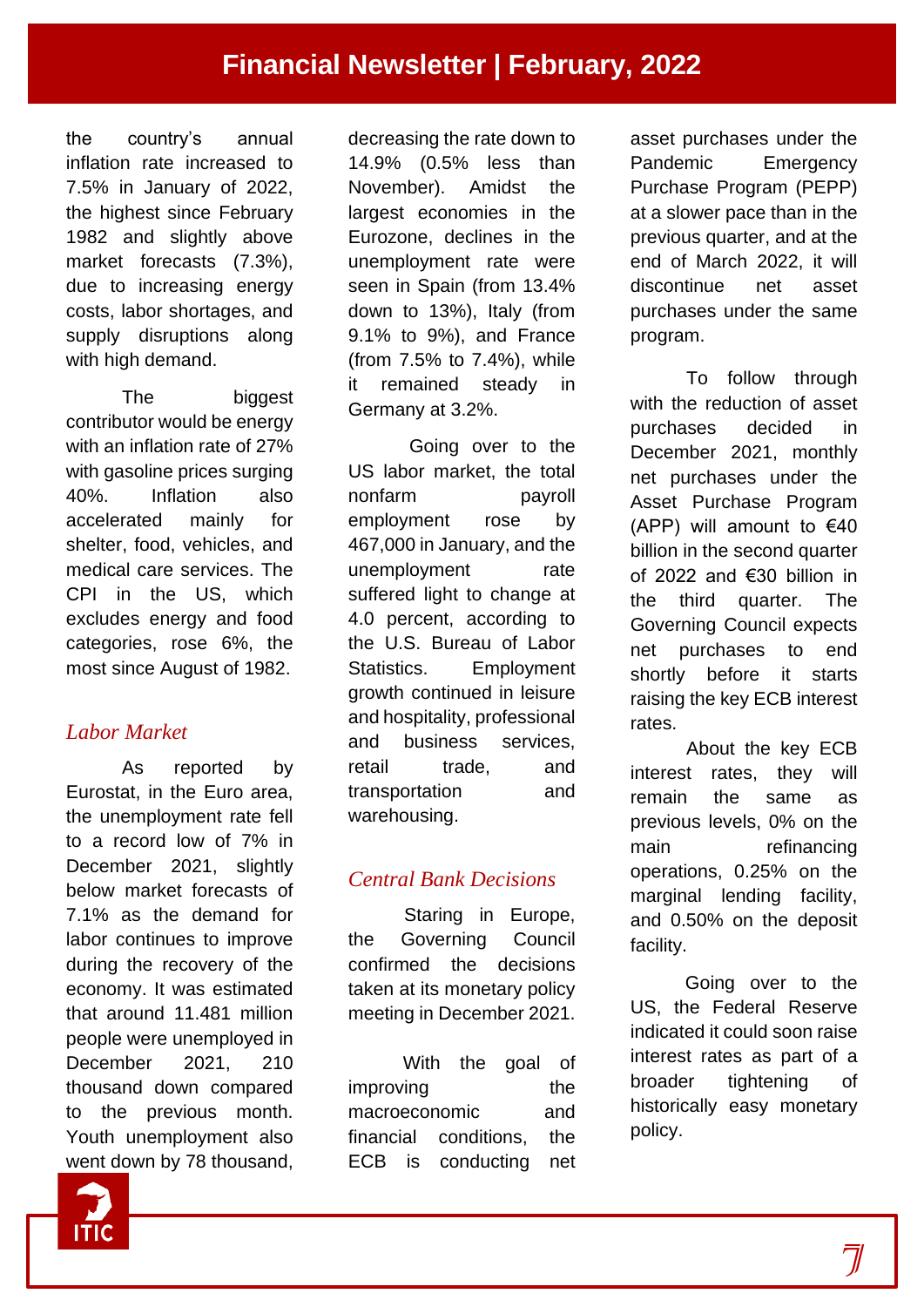the country's annual inflation rate increased to 7.5% in January of 2022, the highest since February 1982 and slightly above market forecasts (7.3%), due to increasing energy costs, labor shortages, and supply disruptions along with high demand.

The biggest contributor would be energy with an inflation rate of 27% with gasoline prices surging 40%. Inflation also accelerated mainly for shelter, food, vehicles, and medical care services. The CPI in the US, which excludes energy and food categories, rose 6%, the most since August of 1982.

## *Labor Market*

As reported by Eurostat, in the Euro area, the unemployment rate fell to a record low of 7% in December 2021, slightly below market forecasts of 7.1% as the demand for labor continues to improve during the recovery of the economy. It was estimated that around 11.481 million people were unemployed in December 2021, 210 thousand down compared to the previous month. Youth unemployment also went down by 78 thousand,

decreasing the rate down to 14.9% (0.5% less than November). Amidst the largest economies in the Eurozone, declines in the unemployment rate were seen in Spain (from 13.4% down to 13%), Italy (from 9.1% to 9%), and France (from 7.5% to 7.4%), while it remained steady in Germany at 3.2%.

Going over to the US labor market, the total nonfarm payroll employment rose by 467,000 in January, and the unemployment rate suffered light to change at 4.0 percent, according to the U.S. Bureau of Labor Statistics. Employment growth continued in leisure and hospitality, professional and business services, retail trade, and transportation and warehousing.

## *Central Bank Decisions*

Staring in Europe, the Governing Council confirmed the decisions taken at its monetary policy meeting in December 2021.

With the goal of improving the macroeconomic and financial conditions, the ECB is conducting net asset purchases under the Pandemic Emergency Purchase Program (PEPP) at a slower pace than in the previous quarter, and at the end of March 2022, it will discontinue net asset purchases under the same program.

To follow through with the reduction of asset purchases decided in December 2021, monthly net purchases under the Asset Purchase Program (APP) will amount to  $€40$ billion in the second quarter of 2022 and €30 billion in the third quarter. The Governing Council expects net purchases to end shortly before it starts raising the key ECB interest rates.

About the key ECB interest rates, they will remain the same as previous levels, 0% on the main refinancing operations, 0.25% on the marginal lending facility, and 0.50% on the deposit facility.

Going over to the US, the Federal Reserve indicated it could soon raise interest rates as part of a broader tightening of historically easy monetary policy.

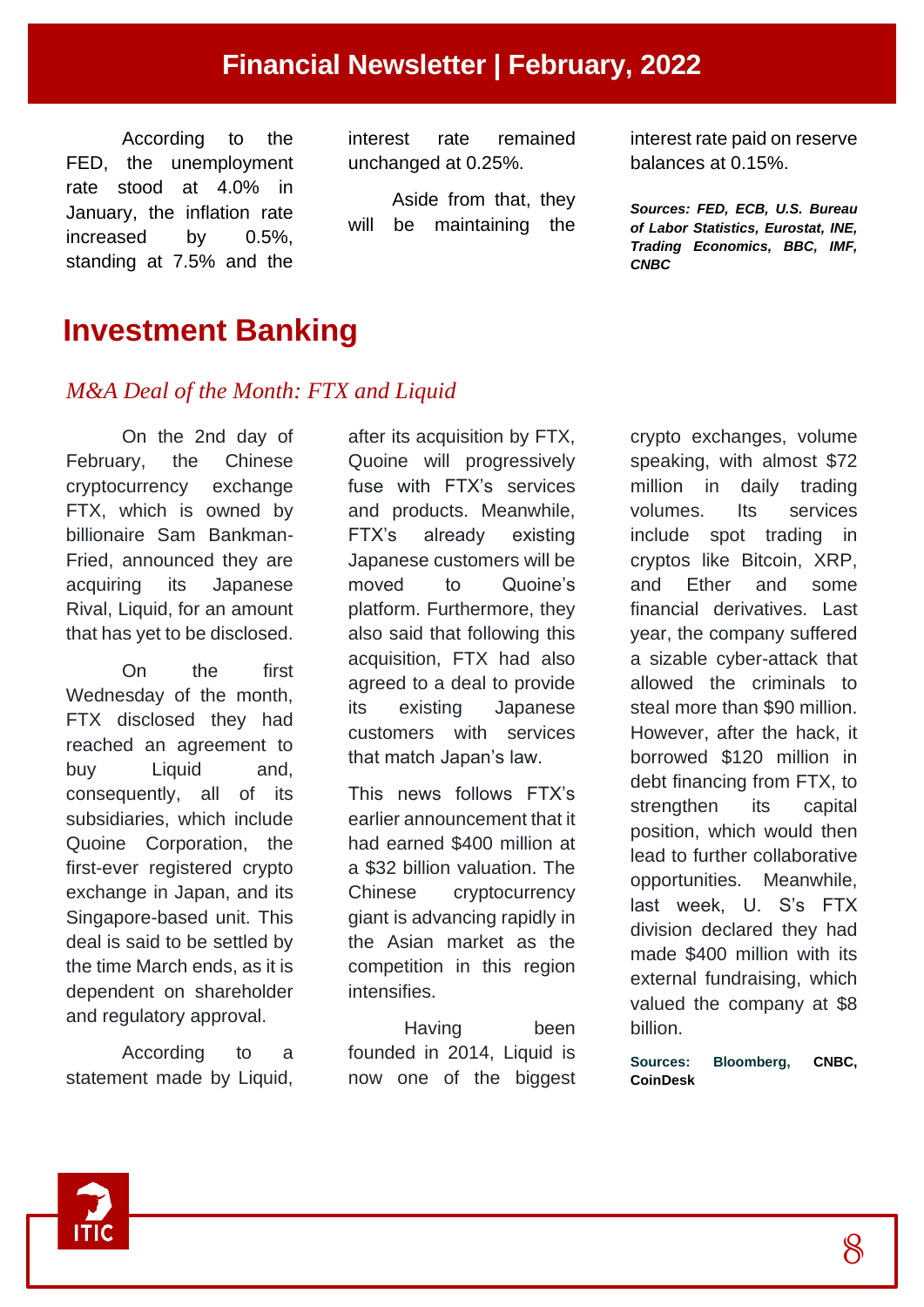# **Financial Newsletter | February, 2022**

According to the FED, the unemployment rate stood at 4.0% in January, the inflation rate increased by 0.5%, standing at 7.5% and the

interest rate remained unchanged at 0.25%.

Aside from that, they will be maintaining the interest rate paid on reserve balances at 0.15%.

*Sources: FED, ECB, U.S. Bureau of Labor Statistics, Eurostat, INE, Trading Economics, BBC, IMF, CNBC*

# **Investment Banking**

### *M&A Deal of the Month: FTX and Liquid*

On the 2nd day of February, the Chinese cryptocurrency exchange FTX, which is owned by billionaire Sam Bankman-Fried, announced they are acquiring its Japanese Rival, Liquid, for an amount that has yet to be disclosed.

On the first Wednesday of the month, FTX disclosed they had reached an agreement to buy Liquid and, consequently, all of its subsidiaries, which include Quoine Corporation, the first-ever registered crypto exchange in Japan, and its Singapore-based unit. This deal is said to be settled by the time March ends, as it is dependent on shareholder and regulatory approval.

According to a statement made by Liquid, after its acquisition by FTX, Quoine will progressively fuse with FTX's services and products. Meanwhile, FTX's already existing Japanese customers will be moved to Quoine's platform. Furthermore, they also said that following this acquisition, FTX had also agreed to a deal to provide its existing Japanese customers with services that match Japan's law.

This news follows FTX's earlier announcement that it had earned \$400 million at a \$32 billion valuation. The Chinese cryptocurrency giant is advancing rapidly in the Asian market as the competition in this region intensifies.

Having been founded in 2014. Liquid is now one of the biggest

crypto exchanges, volume speaking, with almost \$72 million in daily trading volumes. Its services include spot trading in cryptos like Bitcoin, XRP, and Ether and some financial derivatives. Last year, the company suffered a sizable cyber-attack that allowed the criminals to steal more than \$90 million. However, after the hack, it borrowed \$120 million in debt financing from FTX, to strengthen its capital position, which would then lead to further collaborative opportunities. Meanwhile, last week, U. S's FTX division declared they had made \$400 million with its external fundraising, which valued the company at \$8 billion.

**Sources: Bloomberg, CNBC, CoinDesk**

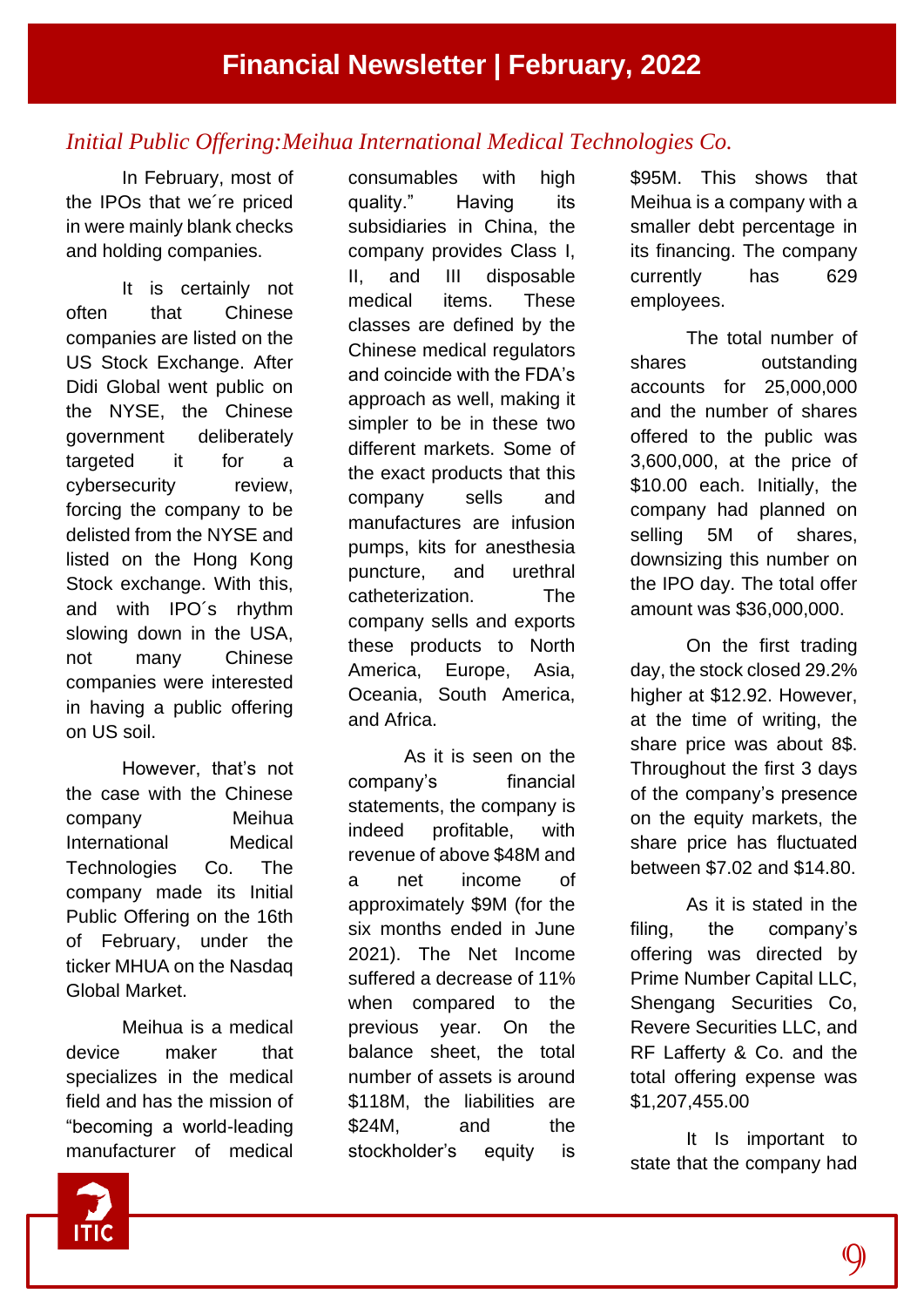## *Initial Public Offering:Meihua International Medical Technologies Co.*

In February, most of the IPOs that we´re priced in were mainly blank checks and holding companies.

It is certainly not often that Chinese companies are listed on the US Stock Exchange. After Didi Global went public on the NYSE, the Chinese government deliberately targeted it for a cybersecurity review, forcing the company to be delisted from the NYSE and listed on the Hong Kong Stock exchange. With this, and with IPO´s rhythm slowing down in the USA, not many Chinese companies were interested in having a public offering on US soil.

However, that's not the case with the Chinese company Meihua International Medical Technologies Co. The company made its Initial Public Offering on the 16th of February, under the ticker MHUA on the Nasdaq Global Market.

Meihua is a medical device maker that specializes in the medical field and has the mission of "becoming a world-leading manufacturer of medical

consumables with high quality." Having its subsidiaries in China, the company provides Class I, II, and III disposable medical items. These classes are defined by the Chinese medical regulators and coincide with the FDA's approach as well, making it simpler to be in these two different markets. Some of the exact products that this company sells and manufactures are infusion pumps, kits for anesthesia puncture, and urethral catheterization. The company sells and exports these products to North America, Europe, Asia, Oceania, South America, and Africa.

As it is seen on the company's financial statements, the company is indeed profitable, with revenue of above \$48M and a net income of approximately \$9M (for the six months ended in June 2021). The Net Income suffered a decrease of 11% when compared to the previous year. On the balance sheet, the total number of assets is around \$118M, the liabilities are \$24M, and the stockholder's equity is

\$95M. This shows that Meihua is a company with a smaller debt percentage in its financing. The company currently has 629 employees.

The total number of shares outstanding accounts for 25,000,000 and the number of shares offered to the public was 3,600,000, at the price of \$10.00 each. Initially, the company had planned on selling 5M of shares, downsizing this number on the IPO day. The total offer amount was \$36,000,000.

On the first trading day, the stock closed 29.2% higher at \$12.92. However, at the time of writing, the share price was about 8\$. Throughout the first 3 days of the company's presence on the equity markets, the share price has fluctuated between \$7.02 and \$14.80.

As it is stated in the filing, the company's offering was directed by Prime Number Capital LLC, Shengang Securities Co, Revere Securities LLC, and RF Lafferty & Co. and the total offering expense was \$1,207,455.00

It Is important to state that the company had

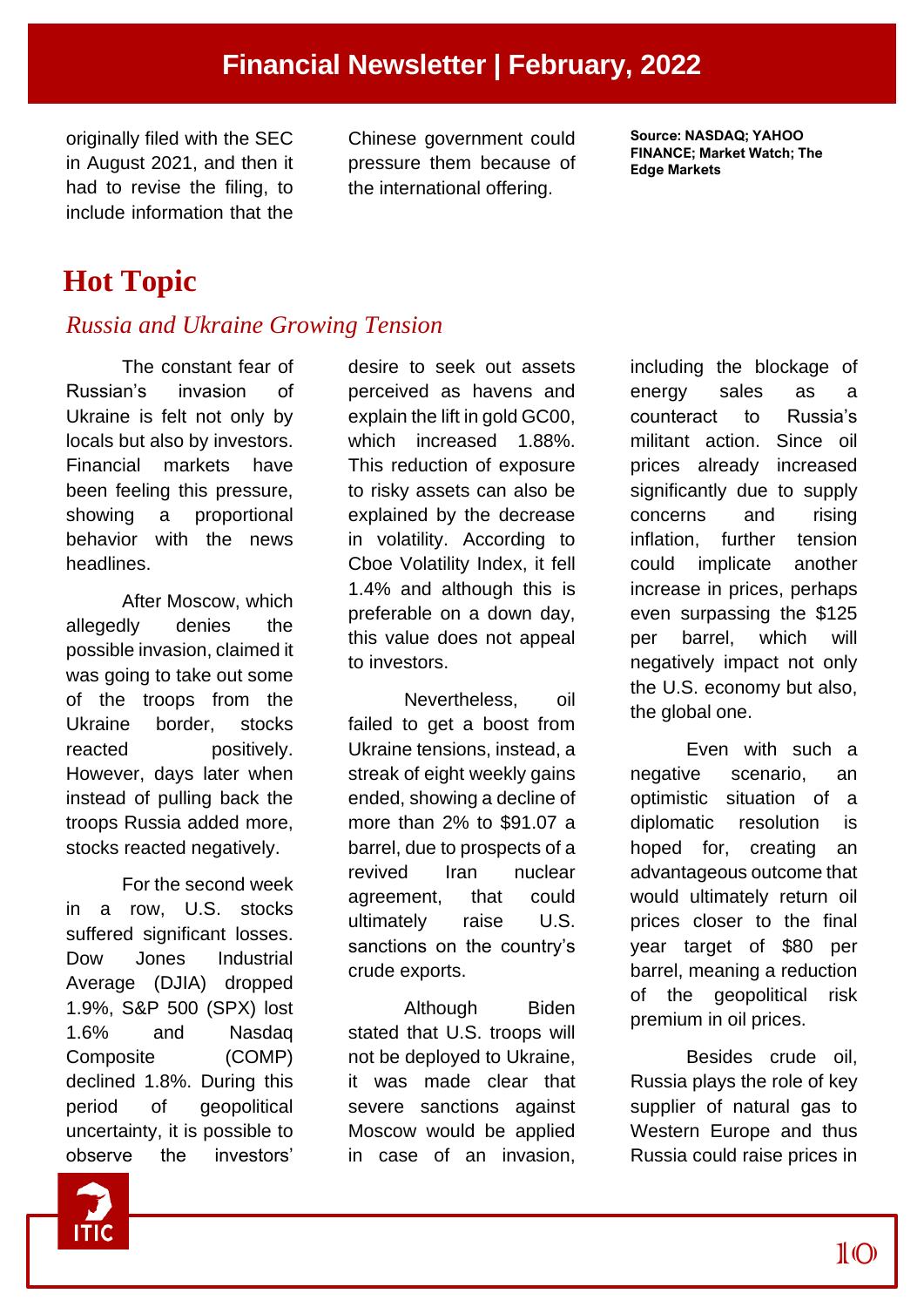originally filed with the SEC in August 2021, and then it had to revise the filing, to include information that the

Chinese government could pressure them because of the international offering.

**Source: NASDAQ; YAHOO FINANCE; Market Watch; The Edge Markets**

# **Hot Topic**

## *Russia and Ukraine Growing Tension*

The constant fear of Russian's invasion of Ukraine is felt not only by locals but also by investors. Financial markets have been feeling this pressure, showing a proportional behavior with the news headlines.

After Moscow, which allegedly denies the possible invasion, claimed it was going to take out some of the troops from the Ukraine border, stocks reacted positively. However, days later when instead of pulling back the troops Russia added more, stocks reacted negatively.

For the second week in a row, U.S. stocks suffered significant losses. Dow Jones Industrial Average (DJIA) dropped 1.9%, S&P 500 (SPX) lost 1.6% and Nasdaq Composite (COMP) declined 1.8%. During this period of geopolitical uncertainty, it is possible to observe the investors'

desire to seek out assets perceived as havens and explain the lift in gold GC00, which increased 1.88%. This reduction of exposure to risky assets can also be explained by the decrease in volatility. According to Cboe Volatility Index, it fell 1.4% and although this is preferable on a down day, this value does not appeal to investors.

Nevertheless, oil failed to get a boost from Ukraine tensions, instead, a streak of eight weekly gains ended, showing a decline of more than 2% to \$91.07 a barrel, due to prospects of a revived Iran nuclear agreement, that could ultimately raise U.S. sanctions on the country's crude exports.

Although Biden stated that U.S. troops will not be deployed to Ukraine, it was made clear that severe sanctions against Moscow would be applied in case of an invasion,

including the blockage of energy sales as a counteract to Russia's militant action. Since oil prices already increased significantly due to supply concerns and rising inflation, further tension could implicate another increase in prices, perhaps even surpassing the \$125 per barrel, which will negatively impact not only the U.S. economy but also, the global one.

Even with such a negative scenario, an optimistic situation of a diplomatic resolution is hoped for, creating an advantageous outcome that would ultimately return oil prices closer to the final year target of \$80 per barrel, meaning a reduction of the geopolitical risk premium in oil prices.

Besides crude oil, Russia plays the role of key supplier of natural gas to Western Europe and thus Russia could raise prices in

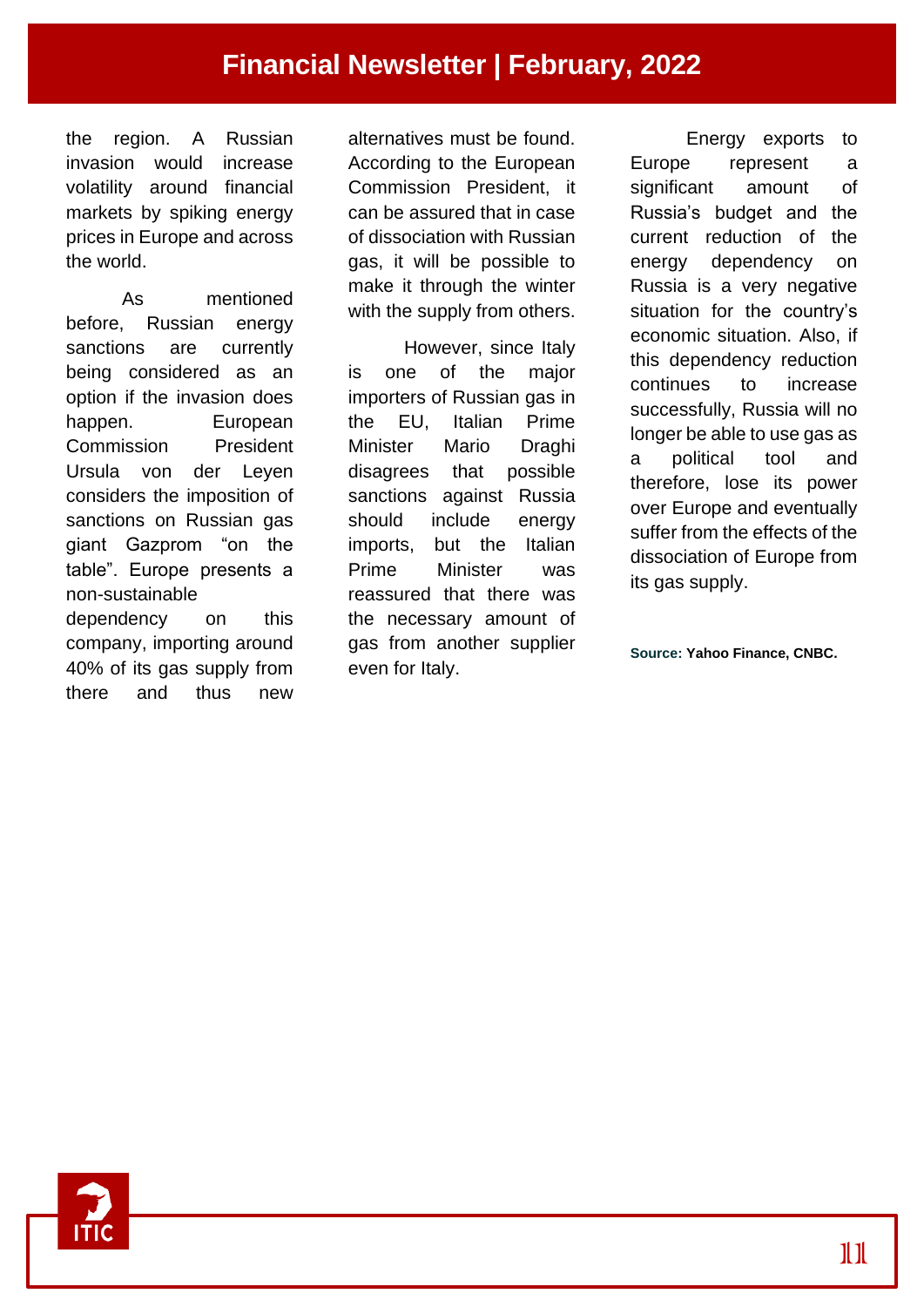the region. A Russian invasion would increase volatility around financial markets by spiking energy prices in Europe and across the world.

As mentioned before, Russian energy sanctions are currently being considered as an option if the invasion does happen. European Commission President Ursula von der Leyen considers the imposition of sanctions on Russian gas giant Gazprom "on the table". Europe presents a non-sustainable dependency on this company, importing around 40% of its gas supply from there and thus new

alternatives must be found. According to the European Commission President, it can be assured that in case of dissociation with Russian gas, it will be possible to make it through the winter with the supply from others.

However, since Italy is one of the major importers of Russian gas in the EU, Italian Prime Minister Mario Draghi disagrees that possible sanctions against Russia should include energy imports, but the Italian Prime Minister was reassured that there was the necessary amount of gas from another supplier even for Italy.

Energy exports to Europe represent a significant amount of Russia's budget and the current reduction of the energy dependency on Russia is a very negative situation for the country's economic situation. Also, if this dependency reduction continues to increase successfully, Russia will no longer be able to use gas as a political tool and therefore, lose its power over Europe and eventually suffer from the effects of the dissociation of Europe from its gas supply.

**Source: Yahoo Finance, CNBC.**